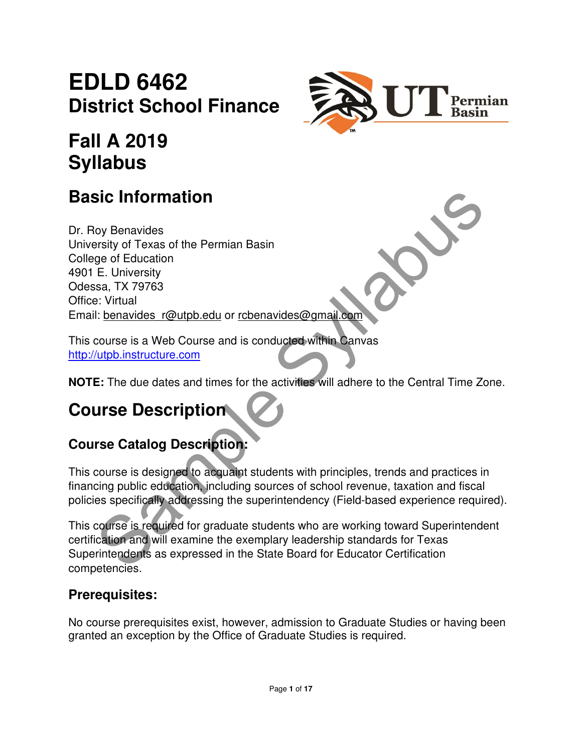# **EDLD 6462 District School Finance**



# **Fall A 2019 Syllabus**

## **Basic Information**

**Sic Information**<br>
Yoy Benavides<br>
Systy of Texas of the Permian Basin<br>
ge of Education<br>
E. University<br>
Sa, TX 79763<br>
Sic Virtual<br>
Shows the Sample Syllabustant of the activities will adhere to the Central Time Zono<br>
Course Dr. Roy Benavides University of Texas of the Permian Basin College of Education 4901 E. University Odessa, TX 79763 Office: Virtual Email: benavides r@utpb.edu or rcbenavides@gmail.com

This course is a Web Course and is conducted within Canvas http://utpb.instructure.com

**NOTE:** The due dates and times for the activities will adhere to the Central Time Zone.

# **Course Description**

## **Course Catalog Description:**

This course is designed to acquaint students with principles, trends and practices in financing public education, including sources of school revenue, taxation and fiscal policies specifically addressing the superintendency (Field-based experience required).

This course is required for graduate students who are working toward Superintendent certification and will examine the exemplary leadership standards for Texas Superintendents as expressed in the State Board for Educator Certification competencies.

### **Prerequisites:**

No course prerequisites exist, however, admission to Graduate Studies or having been granted an exception by the Office of Graduate Studies is required.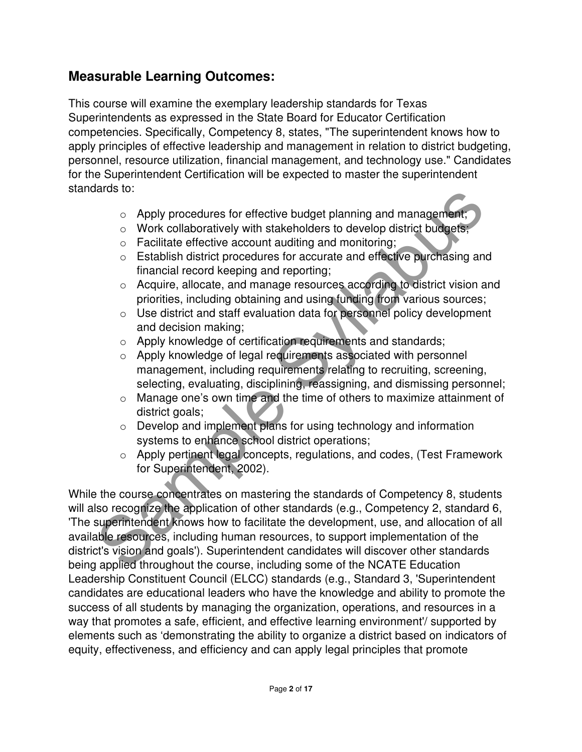### **Measurable Learning Outcomes:**

This course will examine the exemplary leadership standards for Texas Superintendents as expressed in the State Board for Educator Certification competencies. Specifically, Competency 8, states, "The superintendent knows how to apply principles of effective leadership and management in relation to district budgeting, personnel, resource utilization, financial management, and technology use." Candidates for the Superintendent Certification will be expected to master the superintendent standards to:

- o Apply procedures for effective budget planning and management;
- o Work collaboratively with stakeholders to develop district budgets;
- o Facilitate effective account auditing and monitoring;
- o Establish district procedures for accurate and effective purchasing and financial record keeping and reporting;
- o Acquire, allocate, and manage resources according to district vision and priorities, including obtaining and using funding from various sources;
- o Use district and staff evaluation data for personnel policy development and decision making;
- o Apply knowledge of certification requirements and standards;
- o Apply knowledge of legal requirements associated with personnel management, including requirements relating to recruiting, screening, selecting, evaluating, disciplining, reassigning, and dismissing personnel;
- o Manage one's own time and the time of others to maximize attainment of district goals;
- o Develop and implement plans for using technology and information systems to enhance school district operations;
- o Apply pertinent legal concepts, regulations, and codes, (Test Framework for Superintendent, 2002).

ο Apply procedures for effective budget planning and management,<br>
ο Work collaboratively with stakeholders to develop district budgets,<br>
ο Facilitate effective account auditing and monitoring;<br>
ο Facilitate effective acc While the course concentrates on mastering the standards of Competency 8, students will also recognize the application of other standards (e.g., Competency 2, standard 6, 'The superintendent knows how to facilitate the development, use, and allocation of all available resources, including human resources, to support implementation of the district's vision and goals'). Superintendent candidates will discover other standards being applied throughout the course, including some of the NCATE Education Leadership Constituent Council (ELCC) standards (e.g., Standard 3, 'Superintendent candidates are educational leaders who have the knowledge and ability to promote the success of all students by managing the organization, operations, and resources in a way that promotes a safe, efficient, and effective learning environment'/ supported by elements such as 'demonstrating the ability to organize a district based on indicators of equity, effectiveness, and efficiency and can apply legal principles that promote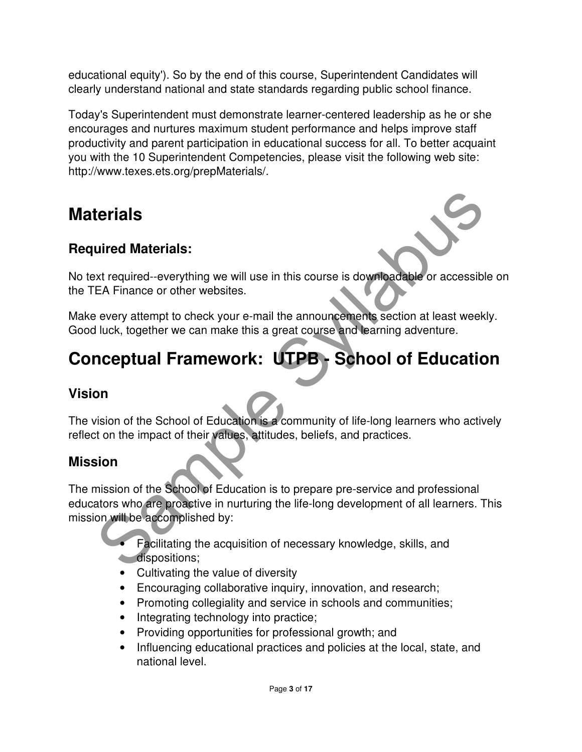educational equity'). So by the end of this course, Superintendent Candidates will clearly understand national and state standards regarding public school finance.

Today's Superintendent must demonstrate learner-centered leadership as he or she encourages and nurtures maximum student performance and helps improve staff productivity and parent participation in educational success for all. To better acquaint you with the 10 Superintendent Competencies, please visit the following web site: http://www.texes.ets.org/prepMaterials/.

## **Materials**

### **Required Materials:**



No text required--everything we will use in this course is downloadable or accessible on the TEA Finance or other websites.

Make every attempt to check your e-mail the announcements section at least weekly. Good luck, together we can make this a great course and learning adventure.

# **Conceptual Framework: UTPB - School of Education**

### **Vision**

The vision of the School of Education is a community of life-long learners who actively reflect on the impact of their values, attitudes, beliefs, and practices.

### **Mission**

terials<br>
uired Materials:<br>
xt required-evorything we will use in this course is downloadable or accessible<br>
revery attempt to check your e-mail the announcements section at least weekly.<br>
il uck, together we can make this The mission of the School of Education is to prepare pre-service and professional educators who are proactive in nurturing the life-long development of all learners. This mission will be accomplished by:

• Facilitating the acquisition of necessary knowledge, skills, and dispositions;

- Cultivating the value of diversity
- Encouraging collaborative inquiry, innovation, and research;
- Promoting collegiality and service in schools and communities;
- Integrating technology into practice;
- Providing opportunities for professional growth; and
- Influencing educational practices and policies at the local, state, and national level.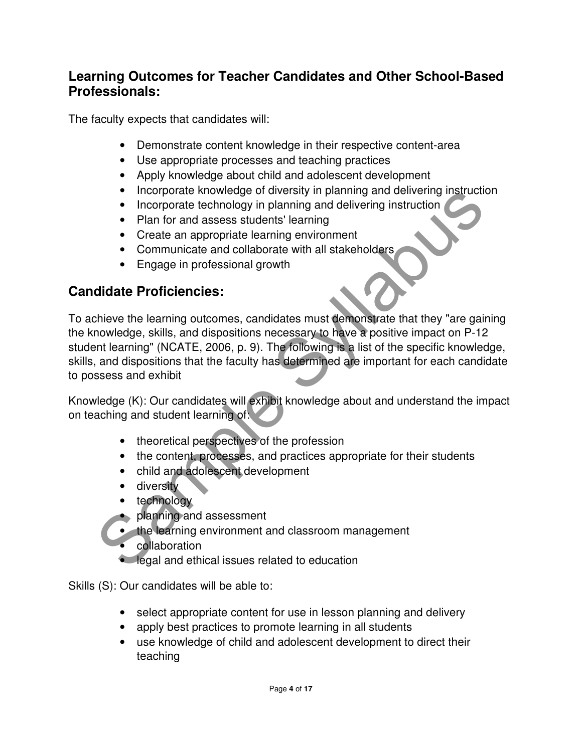### **Learning Outcomes for Teacher Candidates and Other School-Based Professionals:**

The faculty expects that candidates will:

- Demonstrate content knowledge in their respective content-area
- Use appropriate processes and teaching practices
- Apply knowledge about child and adolescent development
- Incorporate knowledge of diversity in planning and delivering instruction
- Incorporate technology in planning and delivering instruction
- Plan for and assess students' learning
- Create an appropriate learning environment
- Communicate and collaborate with all stakeholders
- Engage in professional growth

### **Candidate Proficiencies:**

• Incorporate knowledge of ouversity in planning and delivering instruction<br>• Incorporate technology in planning and delivering instruction<br>• Plan for and assess students' learning<br>• Create an appopriate learning environme To achieve the learning outcomes, candidates must demonstrate that they "are gaining the knowledge, skills, and dispositions necessary to have a positive impact on P-12 student learning" (NCATE, 2006, p. 9). The following is a list of the specific knowledge, skills, and dispositions that the faculty has determined are important for each candidate to possess and exhibit

Knowledge (K): Our candidates will exhibit knowledge about and understand the impact on teaching and student learning of:

- theoretical perspectives of the profession
- the content, processes, and practices appropriate for their students
- child and adolescent development
- diversity
- technology
- planning and assessment
- the learning environment and classroom management
- collaboration
- legal and ethical issues related to education

Skills (S): Our candidates will be able to:

- select appropriate content for use in lesson planning and delivery
- apply best practices to promote learning in all students
- use knowledge of child and adolescent development to direct their teaching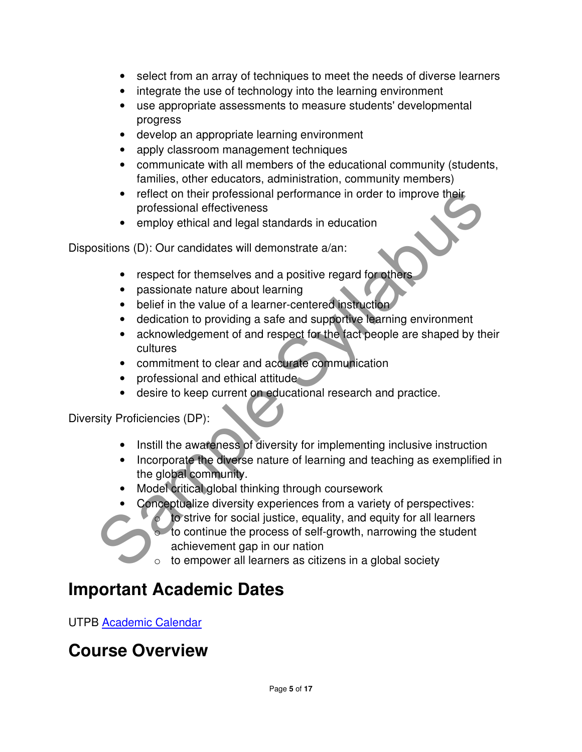- select from an array of techniques to meet the needs of diverse learners
- integrate the use of technology into the learning environment
- use appropriate assessments to measure students' developmental progress
- develop an appropriate learning environment
- apply classroom management techniques
- communicate with all members of the educational community (students, families, other educators, administration, community members)
- reflect on their professional performance in order to improve their professional effectiveness
- employ ethical and legal standards in education

Dispositions (D): Our candidates will demonstrate a/an:

- respect for themselves and a positive regard for others
- passionate nature about learning
- belief in the value of a learner-centered instruction
- dedication to providing a safe and supportive learning environment
- acknowledgement of and respect for the fact people are shaped by their cultures
- commitment to clear and accurate communication
- professional and ethical attitude
- desire to keep current on educational research and practice.

Diversity Proficiencies (DP):

- Instill the awareness of diversity for implementing inclusive instruction
- Incorporate the diverse nature of learning and teaching as exemplified in the global community.
- Model critical global thinking through coursework
- Conceptualize diversity experiences from a variety of perspectives:
- reflect on their professional performance in order to improve their<br>
professional effectiveness<br>
 employ ethical and legal standards in education<br>
 respect for themselves and a positive regard **for others**<br>
 passionat to strive for social justice, equality, and equity for all learners  $\circ$  to continue the process of self-growth, narrowing the student achievement gap in our nation
	- $\circ$  to empower all learners as citizens in a global society

## **Important Academic Dates**

UTPB Academic Calendar

## **Course Overview**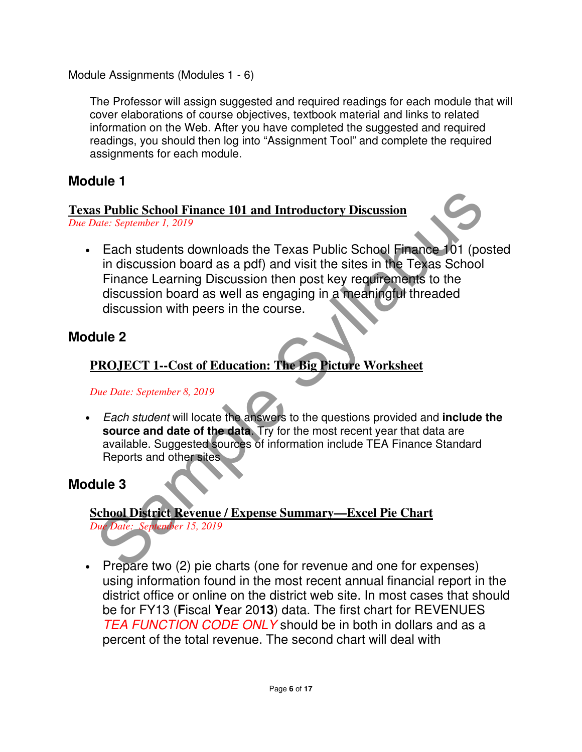Module Assignments (Modules 1 - 6)

The Professor will assign suggested and required readings for each module that will cover elaborations of course objectives, textbook material and links to related information on the Web. After you have completed the suggested and required readings, you should then log into "Assignment Tool" and complete the required assignments for each module.

### **Module 1**

### **Texas Public School Finance 101 and Introductory Discussion**

*Due Date: September 1, 2019* 

**Example School Finance 101 and Introductory Discussion**<br>
Mate: September 1, 2019<br>
Each students downloads the Texas Public School Finance 101 (post<br>
in discussion board as a pdf) and visit the sites in the Texas School<br> • Each students downloads the Texas Public School Finance 101 (posted in discussion board as a pdf) and visit the sites in the Texas School Finance Learning Discussion then post key requirements to the discussion board as well as engaging in a meaningful threaded discussion with peers in the course.

### **Module 2**

### **PROJECT 1--Cost of Education: The Big Picture Worksheet**

#### *Due Date: September 8, 2019*

• Each student will locate the answers to the questions provided and **include the source and date of the data**. Try for the most recent year that data are available. Suggested sources of information include TEA Finance Standard Reports and other sites

### **Module 3**

### **School District Revenue / Expense Summary—Excel Pie Chart**

*Due Date: September 15, 2019* 

• Prepare two (2) pie charts (one for revenue and one for expenses) using information found in the most recent annual financial report in the district office or online on the district web site. In most cases that should be for FY13 (**F**iscal **Y**ear 20**13**) data. The first chart for REVENUES TEA FUNCTION CODE ONLY should be in both in dollars and as a percent of the total revenue. The second chart will deal with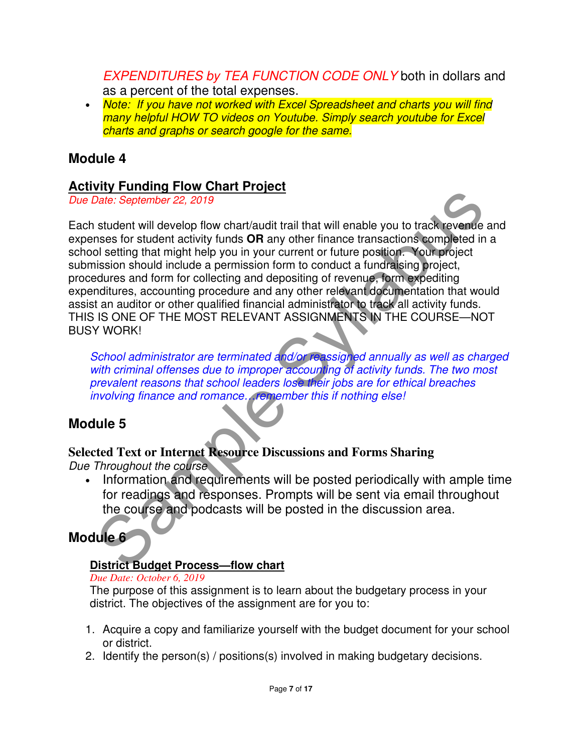EXPENDITURES by TEA FUNCTION CODE ONLY both in dollars and as a percent of the total expenses.

• Note: If you have not worked with Excel Spreadsheet and charts you will find many helpful HOW TO videos on Youtube. Simply search youtube for Excel charts and graphs or search google for the same.

### **Module 4**

#### **Activity Funding Flow Chart Project**

Due Date: September 22, 2019

The Constrainer Control of the Constrainer Constrainer Constrainer Constrainer Constrainer Constrainer Syllabus Syllabus Syllabus Syllabus Syllabus Syllabus Syllabus Syllabus Syllabus Syllabus Syllabus Syllabus Sission sho Each student will develop flow chart/audit trail that will enable you to track revenue and expenses for student activity funds **OR** any other finance transactions completed in a school setting that might help you in your current or future position. Your project submission should include a permission form to conduct a fundraising project, procedures and form for collecting and depositing of revenue, form expediting expenditures, accounting procedure and any other relevant documentation that would assist an auditor or other qualified financial administrator to track all activity funds. THIS IS ONE OF THE MOST RELEVANT ASSIGNMENTS IN THE COURSE—NOT BUSY WORK!

School administrator are terminated and/or reassigned annually as well as charged with criminal offenses due to improper accounting of activity funds. The two most prevalent reasons that school leaders lose their jobs are for ethical breaches involving finance and romance. remember this if nothing else!

### **Module 5**

## **Selected Text or Internet Resource Discussions and Forms Sharing**

Due Throughout the course

• Information and requirements will be posted periodically with ample time for readings and responses. Prompts will be sent via email throughout the course and podcasts will be posted in the discussion area.

## **Module 6**

#### **District Budget Process—flow chart**

#### *Due Date: October 6, 2019*

The purpose of this assignment is to learn about the budgetary process in your district. The objectives of the assignment are for you to:

- 1. Acquire a copy and familiarize yourself with the budget document for your school or district.
- 2. Identify the person(s) / positions(s) involved in making budgetary decisions.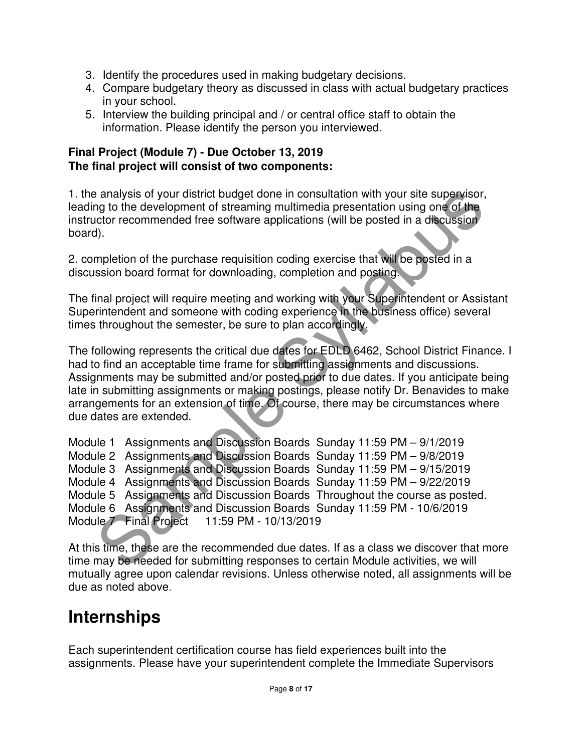- 3. Identify the procedures used in making budgetary decisions.
- 4. Compare budgetary theory as discussed in class with actual budgetary practices in your school.
- 5. Interview the building principal and / or central office staff to obtain the information. Please identify the person you interviewed.

#### **Final Project (Module 7) - Due October 13, 2019 The final project will consist of two components:**

1. the analysis of your district budget done in consultation with your site supervisor, leading to the development of streaming multimedia presentation using one of the instructor recommended free software applications (will be posted in a discussion board).

2. completion of the purchase requisition coding exercise that will be posted in a discussion board format for downloading, completion and posting.

The final project will require meeting and working with your Superintendent or Assistant Superintendent and someone with coding experience in the business office) several times throughout the semester, be sure to plan accordingly.

The following represents the critical due dates for EDLD 6462, School District Finance. I had to find an acceptable time frame for submitting assignments and discussions. Assignments may be submitted and/or posted prior to due dates. If you anticipate being late in submitting assignments or making postings, please notify Dr. Benavides to make arrangements for an extension of time. Of course, there may be circumstances where due dates are extended.

```
a analysis of your district budget done in consultation with your site supervisor,<br>and to the development of streaming multimedia presentation using one of the<br>elector recommended free software applications (will be posted
Module 1 Assignments and Discussion Boards Sunday 11:59 PM – 9/1/2019 
Module 2 Assignments and Discussion Boards Sunday 11:59 PM – 9/8/2019 
Module 3 Assignments and Discussion Boards Sunday 11:59 PM – 9/15/2019 
Module 4 Assignments and Discussion Boards Sunday 11:59 PM – 9/22/2019 
Module 5 Assignments and Discussion Boards Throughout the course as posted. 
Module 6 Assignments and Discussion Boards Sunday 11:59 PM - 10/6/2019 
Module 7 Final Project 11:59 PM - 10/13/2019
```
At this time, these are the recommended due dates. If as a class we discover that more time may be needed for submitting responses to certain Module activities, we will mutually agree upon calendar revisions. Unless otherwise noted, all assignments will be due as noted above.

## **Internships**

Each superintendent certification course has field experiences built into the assignments. Please have your superintendent complete the Immediate Supervisors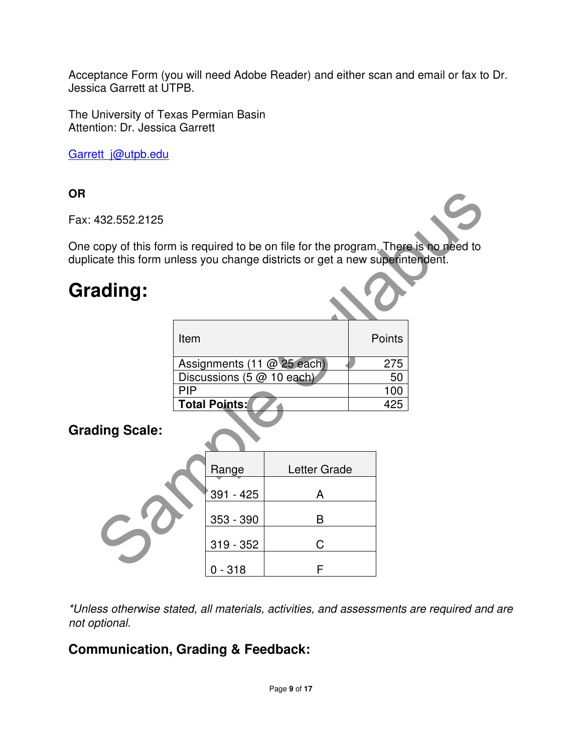Acceptance Form (you will need Adobe Reader) and either scan and email or fax to Dr. Jessica Garrett at UTPB.

The University of Texas Permian Basin Attention: Dr. Jessica Garrett

Garrett\_j@utpb.edu

#### **OR**

Fax: 432.552.2125

One copy of this form is required to be on file for the program. There is no need to duplicate this form unless you change districts or get a new superintendent.

## **Grading:**

| Item                       | Points |
|----------------------------|--------|
| Assignments (11 @ 25 each) | 275    |
| Discussions (5 @ 10 each)  | 50     |
| PIP                        | 100    |
| <b>Total Points:</b>       | 425    |
|                            |        |

### **Grading Scale:**

| 432.552.2125                                                                                                                                                |            |                           |                            |  |        |  |
|-------------------------------------------------------------------------------------------------------------------------------------------------------------|------------|---------------------------|----------------------------|--|--------|--|
| copy of this form is required to be on file for the program. There is no need to<br>cate this form unless you change districts or get a new superintendent. |            |                           |                            |  |        |  |
| ading:                                                                                                                                                      |            |                           |                            |  |        |  |
|                                                                                                                                                             | Item       |                           |                            |  | Points |  |
|                                                                                                                                                             |            |                           | Assignments (11 @ 25 each) |  | 275    |  |
|                                                                                                                                                             |            | Discussions (5 @ 10 each) |                            |  | 50     |  |
|                                                                                                                                                             | <b>PIP</b> |                           |                            |  | 100    |  |
|                                                                                                                                                             |            | <b>Total Points:</b>      |                            |  | 425    |  |
| ding Scale:                                                                                                                                                 |            |                           |                            |  |        |  |
|                                                                                                                                                             |            | Range                     | Letter Grade               |  |        |  |
|                                                                                                                                                             |            | 391 - 425                 | A                          |  |        |  |
|                                                                                                                                                             |            | 353 - 390                 | B                          |  |        |  |
|                                                                                                                                                             |            | $319 - 352$               | C                          |  |        |  |
|                                                                                                                                                             |            | $0 - 318$                 | F                          |  |        |  |

\*Unless otherwise stated, all materials, activities, and assessments are required and are not optional.

### **Communication, Grading & Feedback:**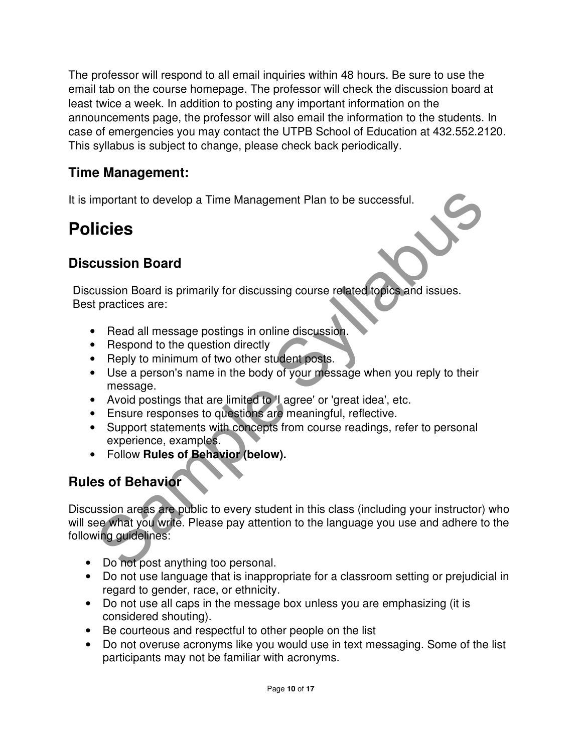The professor will respond to all email inquiries within 48 hours. Be sure to use the email tab on the course homepage. The professor will check the discussion board at least twice a week. In addition to posting any important information on the announcements page, the professor will also email the information to the students. In case of emergencies you may contact the UTPB School of Education at 432.552.2120. This syllabus is subject to change, please check back periodically.

### **Time Management:**

It is important to develop a Time Management Plan to be successful.

## **Policies**

### **Discussion Board**

Discussion Board is primarily for discussing course related topics and issues. Best practices are:

- Read all message postings in online discussion.
- Respond to the question directly
- Reply to minimum of two other student posts.
- Use a person's name in the body of your message when you reply to their message.
- Avoid postings that are limited to 'I agree' or 'great idea', etc.
- Ensure responses to questions are meaningful, reflective.
- Support statements with concepts from course readings, refer to personal experience, examples.
- Follow **Rules of Behavior (below).**

### **Rules of Behavior**

mportant to develop a Time Management Plan to be successful.<br> **icies**<br> **icies**<br> **icies**<br> **all message positings in online discussion.**<br> **Packing Syllabus Syllabuse Syllabuse Syllabuse are:**<br> **Read all message positings in** Discussion areas are public to every student in this class (including your instructor) who will see what you write. Please pay attention to the language you use and adhere to the following guidelines:

- Do not post anything too personal.
- Do not use language that is inappropriate for a classroom setting or prejudicial in regard to gender, race, or ethnicity.
- Do not use all caps in the message box unless you are emphasizing (it is considered shouting).
- Be courteous and respectful to other people on the list
- Do not overuse acronyms like you would use in text messaging. Some of the list participants may not be familiar with acronyms.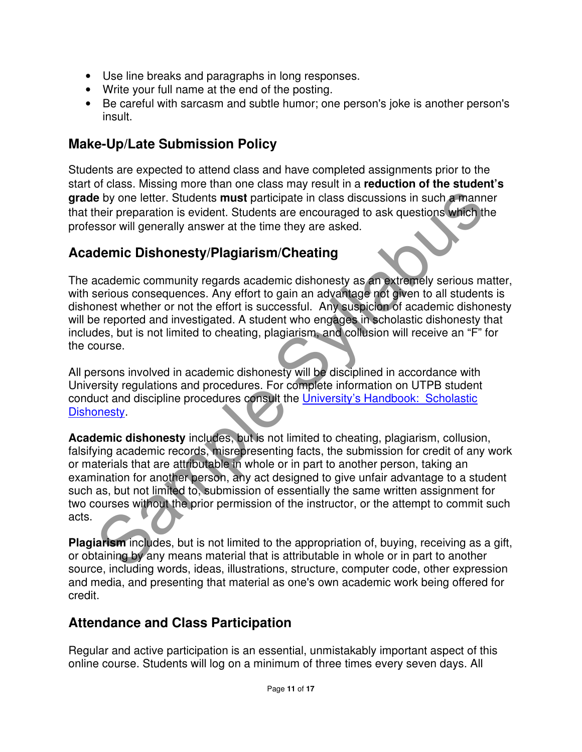- Use line breaks and paragraphs in long responses.
- Write your full name at the end of the posting.
- Be careful with sarcasm and subtle humor; one person's joke is another person's insult.

### **Make-Up/Late Submission Policy**

Students are expected to attend class and have completed assignments prior to the start of class. Missing more than one class may result in a **reduction of the student's grade** by one letter. Students **must** participate in class discussions in such a manner that their preparation is evident. Students are encouraged to ask questions which the professor will generally answer at the time they are asked.

### **Academic Dishonesty/Plagiarism/Cheating**

The academic community regards academic dishonesty as an extremely serious matter, with serious consequences. Any effort to gain an advantage not given to all students is dishonest whether or not the effort is successful. Any suspicion of academic dishonesty will be reported and investigated. A student who engages in scholastic dishonesty that includes, but is not limited to cheating, plagiarism, and collusion will receive an "F" for the course.

All persons involved in academic dishonesty will be disciplined in accordance with University regulations and procedures. For complete information on UTPB student conduct and discipline procedures consult the University's Handbook: Scholastic Dishonesty.

**e** by one letter. Students **must** participate in class discussions in such a manner here preparation is evident. Students are encouraged to ask questions which the sear will generally answer at the time they are asked.<br> **Academic dishonesty** includes, but is not limited to cheating, plagiarism, collusion, falsifying academic records, misrepresenting facts, the submission for credit of any work or materials that are attributable in whole or in part to another person, taking an examination for another person, any act designed to give unfair advantage to a student such as, but not limited to, submission of essentially the same written assignment for two courses without the prior permission of the instructor, or the attempt to commit such acts.

**Plagiarism** includes, but is not limited to the appropriation of, buying, receiving as a gift, or obtaining by any means material that is attributable in whole or in part to another source, including words, ideas, illustrations, structure, computer code, other expression and media, and presenting that material as one's own academic work being offered for credit.

## **Attendance and Class Participation**

Regular and active participation is an essential, unmistakably important aspect of this online course. Students will log on a minimum of three times every seven days. All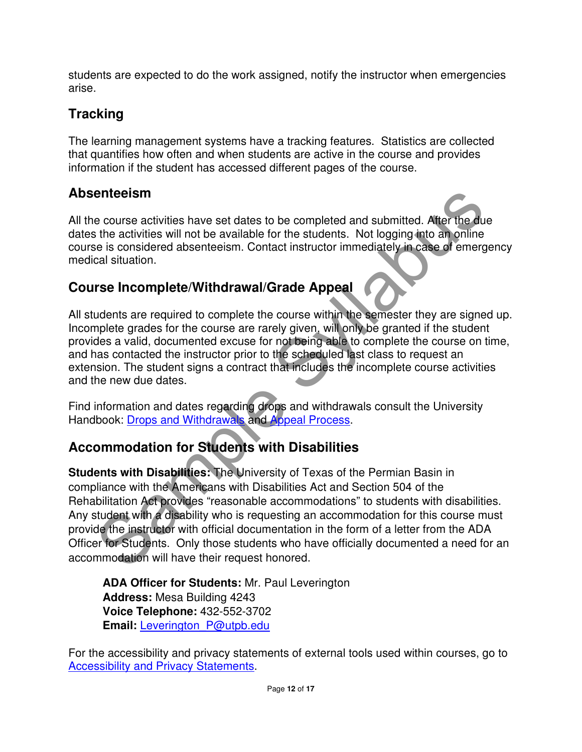students are expected to do the work assigned, notify the instructor when emergencies arise.

## **Tracking**

The learning management systems have a tracking features. Statistics are collected that quantifies how often and when students are active in the course and provides information if the student has accessed different pages of the course.

### **Absenteeism**

All the course activities have set dates to be completed and submitted. After the due dates the activities will not be available for the students. Not logging into an online course is considered absenteeism. Contact instructor immediately in case of emergency medical situation.

### **Course Incomplete/Withdrawal/Grade Appeal**

All students are required to complete the course within the semester they are signed up. Incomplete grades for the course are rarely given, will only be granted if the student provides a valid, documented excuse for not being able to complete the course on time, and has contacted the instructor prior to the scheduled last class to request an extension. The student signs a contract that includes the incomplete course activities and the new due dates.

Find information and dates regarding drops and withdrawals consult the University Handbook: Drops and Withdrawals and Appeal Process.

## **Accommodation for Students with Disabilities**

enteeism<br>
e course activities have set dates to be completed and submitted. After the due<br>
the activities will not be available for the students. Not logging into an online<br>
the activities will not be available for the stu **Students with Disabilities:** The University of Texas of the Permian Basin in compliance with the Americans with Disabilities Act and Section 504 of the Rehabilitation Act provides "reasonable accommodations" to students with disabilities. Any student with a disability who is requesting an accommodation for this course must provide the instructor with official documentation in the form of a letter from the ADA Officer for Students. Only those students who have officially documented a need for an accommodation will have their request honored.

**ADA Officer for Students:** Mr. Paul Leverington **Address:** Mesa Building 4243 **Voice Telephone:** 432-552-3702 **Email:** Leverington\_P@utpb.edu

For the accessibility and privacy statements of external tools used within courses, go to **Accessibility and Privacy Statements.**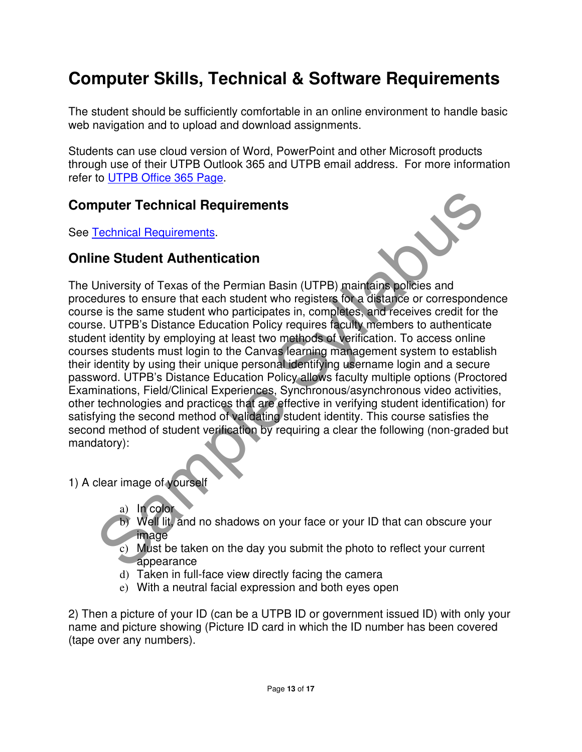## **Computer Skills, Technical & Software Requirements**

The student should be sufficiently comfortable in an online environment to handle basic web navigation and to upload and download assignments.

Students can use cloud version of Word, PowerPoint and other Microsoft products through use of their UTPB Outlook 365 and UTPB email address. For more information refer to UTPB Office 365 Page.

### **Computer Technical Requirements**

See Technical Requirements.

#### **Online Student Authentication**



**Solution:** Technical Requirements<br>
Technical Requirements.<br>
Technical Requirements.<br>
Technical Requirements.<br>
The Student of Texas of the Permian Basin (UTPB) maintains policies and<br>
the identification in the causal state The University of Texas of the Permian Basin (UTPB) maintains policies and procedures to ensure that each student who registers for a distance or correspondence course is the same student who participates in, completes, and receives credit for the course. UTPB's Distance Education Policy requires faculty members to authenticate student identity by employing at least two methods of verification. To access online courses students must login to the Canvas learning management system to establish their identity by using their unique personal identifying username login and a secure password. UTPB's Distance Education Policy allows faculty multiple options (Proctored Examinations, Field/Clinical Experiences, Synchronous/asynchronous video activities, other technologies and practices that are effective in verifying student identification) for satisfying the second method of validating student identity. This course satisfies the second method of student verification by requiring a clear the following (non-graded but mandatory):

1) A clear image of yourself

- a) In color
- b) Well lit, and no shadows on your face or your ID that can obscure your **image**
- c) Must be taken on the day you submit the photo to reflect your current appearance
- d) Taken in full-face view directly facing the camera
- e) With a neutral facial expression and both eyes open

2) Then a picture of your ID (can be a UTPB ID or government issued ID) with only your name and picture showing (Picture ID card in which the ID number has been covered (tape over any numbers).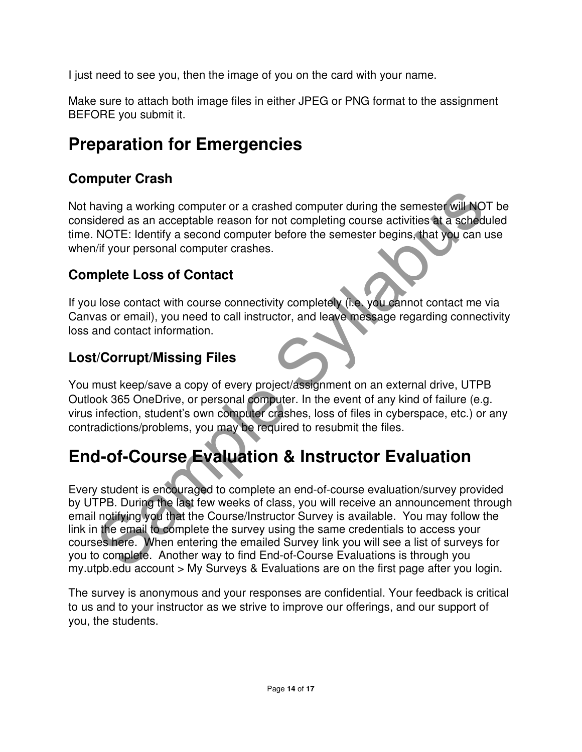I just need to see you, then the image of you on the card with your name.

Make sure to attach both image files in either JPEG or PNG format to the assignment BEFORE you submit it.

## **Preparation for Emergencies**

## **Computer Crash**

Not having a working computer or a crashed computer during the semester will NOT be considered as an acceptable reason for not completing course activities at a scheduled time. NOTE: Identify a second computer before the semester begins, that you can use when/if your personal computer crashes.

## **Complete Loss of Contact**

If you lose contact with course connectivity completely (i.e. you cannot contact me via Canvas or email), you need to call instructor, and leave message regarding connectivity loss and contact information.

## **Lost/Corrupt/Missing Files**

You must keep/save a copy of every project/assignment on an external drive, UTPB Outlook 365 OneDrive, or personal computer. In the event of any kind of failure (e.g. virus infection, student's own computer crashes, loss of files in cyberspace, etc.) or any contradictions/problems, you may be required to resubmit the files.

## **End-of-Course Evaluation & Instructor Evaluation**

aving a working computer or a crashed computer during the semester will NOT<br>idered as an acceptable reason for not completing course activities at a schedula<br>NOTE: Identify a second computer before the semester begins, tha Every student is encouraged to complete an end-of-course evaluation/survey provided by UTPB. During the last few weeks of class, you will receive an announcement through email notifying you that the Course/Instructor Survey is available. You may follow the link in the email to complete the survey using the same credentials to access your courses here. When entering the emailed Survey link you will see a list of surveys for you to complete. Another way to find End-of-Course Evaluations is through you my.utpb.edu account > My Surveys & Evaluations are on the first page after you login.

The survey is anonymous and your responses are confidential. Your feedback is critical to us and to your instructor as we strive to improve our offerings, and our support of you, the students.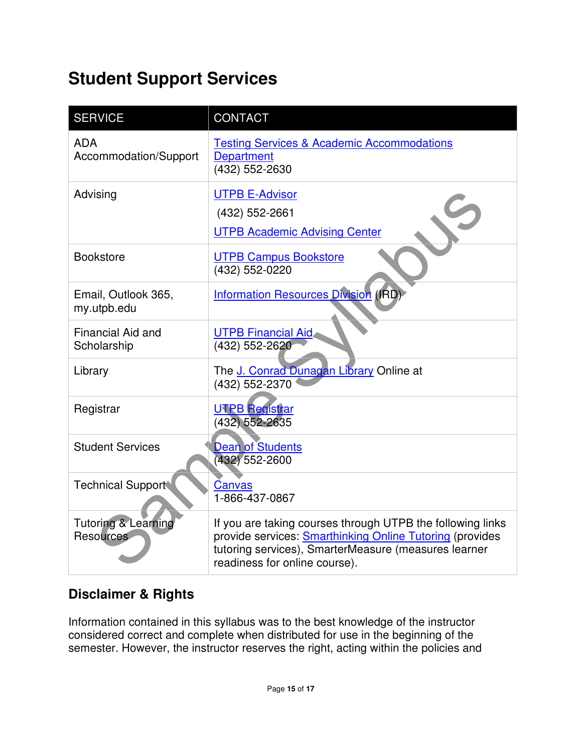## **Student Support Services**

| <b>SERVICE</b>                                     | <b>CONTACT</b>                                                                                                                                                                                                  |
|----------------------------------------------------|-----------------------------------------------------------------------------------------------------------------------------------------------------------------------------------------------------------------|
| <b>ADA</b><br>Accommodation/Support                | <b>Testing Services &amp; Academic Accommodations</b><br><b>Department</b><br>(432) 552-2630                                                                                                                    |
| Advising                                           | <b>UTPB E-Advisor</b><br>(432) 552-2661<br><b>UTPB Academic Advising Center</b>                                                                                                                                 |
| <b>Bookstore</b>                                   | <b>UTPB Campus Bookstore</b><br>(432) 552-0220                                                                                                                                                                  |
| Email, Outlook 365,<br>my.utpb.edu                 | <b>Information Resources Division (IRD)</b>                                                                                                                                                                     |
| Financial Aid and<br>Scholarship                   | <b>UTPB Financial Aid</b><br>(432) 552-2620                                                                                                                                                                     |
| Library                                            | The J. Conrad Dunagan Library Online at<br>(432) 552-2370                                                                                                                                                       |
| Registrar                                          | <b>UTPB Registrar</b><br>(432) 552-2635                                                                                                                                                                         |
| <b>Student Services</b>                            | <b>Dean of Students</b><br>(432) 552-2600                                                                                                                                                                       |
| <b>Technical Support</b>                           | Canvas<br>1-866-437-0867                                                                                                                                                                                        |
| <b>Tutoring &amp; Learning</b><br><b>Resources</b> | If you are taking courses through UTPB the following links<br>provide services: Smarthinking Online Tutoring (provides<br>tutoring services), SmarterMeasure (measures learner<br>readiness for online course). |

## **Disclaimer & Rights**

Information contained in this syllabus was to the best knowledge of the instructor considered correct and complete when distributed for use in the beginning of the semester. However, the instructor reserves the right, acting within the policies and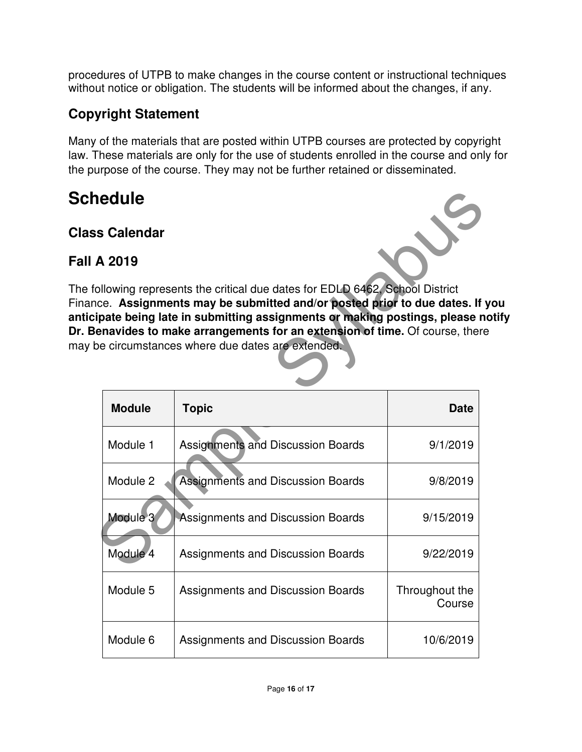procedures of UTPB to make changes in the course content or instructional techniques without notice or obligation. The students will be informed about the changes, if any.

## **Copyright Statement**

Many of the materials that are posted within UTPB courses are protected by copyright law. These materials are only for the use of students enrolled in the course and only for the purpose of the course. They may not be further retained or disseminated.

## **Schedule**

### **Class Calendar**

### **Fall A 2019**



The following represents the critical due dates for EDLD 6462, School District Finance. **Assignments may be submitted and/or posted prior to due dates. If you anticipate being late in submitting assignments or making postings, please notify Dr. Benavides to make arrangements for an extension of time.** Of course, there may be circumstances where due dates are extended.

| <b>nedule</b>                                                                                                                                                                                                                                                                                                                                                     |                                          |                          |  |  |  |
|-------------------------------------------------------------------------------------------------------------------------------------------------------------------------------------------------------------------------------------------------------------------------------------------------------------------------------------------------------------------|------------------------------------------|--------------------------|--|--|--|
| <b>is Calendar</b>                                                                                                                                                                                                                                                                                                                                                |                                          |                          |  |  |  |
| A 2019                                                                                                                                                                                                                                                                                                                                                            |                                          |                          |  |  |  |
| ollowing represents the critical due dates for EDLD 6462, School District<br>nce. Assignments may be submitted and/or posted prior to due dates. If yo<br>ipate being late in submitting assignments or making postings, please not<br>enavides to make arrangements for an extension of time. Of course, there<br>be circumstances where due dates are extended. |                                          |                          |  |  |  |
| <b>Module</b>                                                                                                                                                                                                                                                                                                                                                     | <b>Topic</b>                             | <b>Date</b>              |  |  |  |
| Module 1                                                                                                                                                                                                                                                                                                                                                          | <b>Assignments and Discussion Boards</b> | 9/1/2019                 |  |  |  |
| Module 2                                                                                                                                                                                                                                                                                                                                                          | <b>Assignments and Discussion Boards</b> | 9/8/2019                 |  |  |  |
| Module 3                                                                                                                                                                                                                                                                                                                                                          | <b>Assignments and Discussion Boards</b> | 9/15/2019                |  |  |  |
| Module 4                                                                                                                                                                                                                                                                                                                                                          | Assignments and Discussion Boards        | 9/22/2019                |  |  |  |
| Module 5                                                                                                                                                                                                                                                                                                                                                          | Assignments and Discussion Boards        | Throughout the<br>Course |  |  |  |
| Module 6                                                                                                                                                                                                                                                                                                                                                          | Assignments and Discussion Boards        | 10/6/2019                |  |  |  |